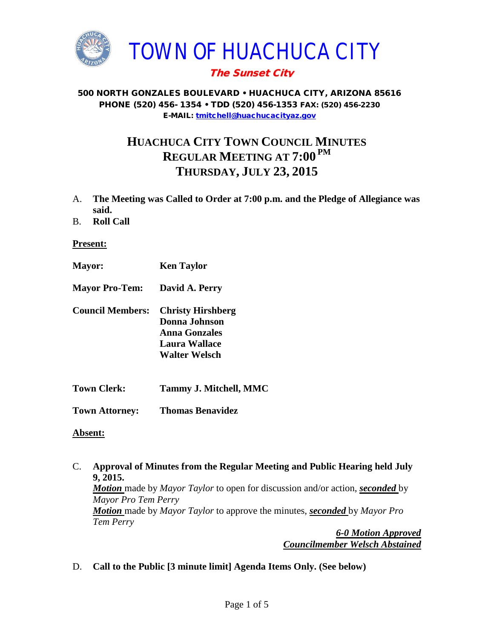

## The Sunset City

#### 500 NORTH GONZALES BOULEVARD • HUACHUCA CITY, ARIZONA 85616 PHONE (520) 456- 1354 • TDD (520) 456-1353 FAX: (520) 456-2230 E-MAIL: [tmitchell@huachucacityaz.gov](mailto:tmitchell@huachucacityaz.gov)

# **HUACHUCA CITY TOWN COUNCIL MINUTES REGULAR MEETING AT 7:00 PM THURSDAY, JULY 23, 2015**

- A. **The Meeting was Called to Order at 7:00 p.m. and the Pledge of Allegiance was said.**
- B. **Roll Call**

#### **Present:**

- **Mayor: Ken Taylor**
- **Mayor Pro-Tem: David A. Perry**
- **Council Members: Christy Hirshberg Donna Johnson Anna Gonzales Laura Wallace Walter Welsch**
- **Town Clerk: Tammy J. Mitchell, MMC**
- **Town Attorney: Thomas Benavidez**

#### **Absent:**

C. **Approval of Minutes from the Regular Meeting and Public Hearing held July 9, 2015.** *Motion* made by *Mayor Taylor* to open for discussion and/or action, *seconded* by *Mayor Pro Tem Perry Motion* made by *Mayor Taylor* to approve the minutes, *seconded* by *Mayor Pro Tem Perry 6-0 Motion Approved*

*Councilmember Welsch Abstained*

D. **Call to the Public [3 minute limit] Agenda Items Only. (See below)**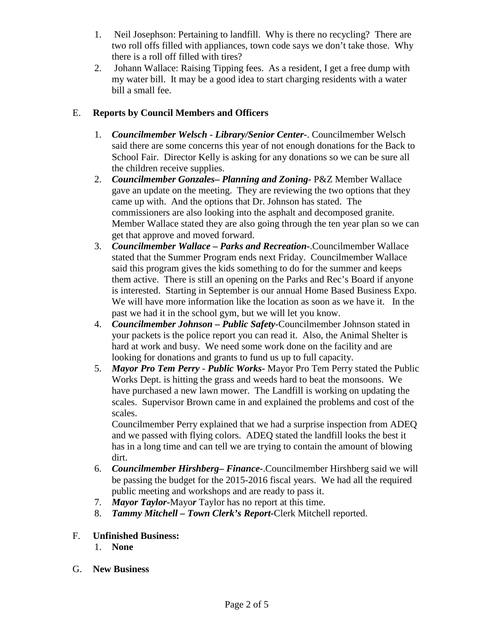- 1. Neil Josephson: Pertaining to landfill. Why is there no recycling? There are two roll offs filled with appliances, town code says we don't take those. Why there is a roll off filled with tires?
- 2. Johann Wallace: Raising Tipping fees. As a resident, I get a free dump with my water bill. It may be a good idea to start charging residents with a water bill a small fee.

## E. **Reports by Council Members and Officers**

- 1. *Councilmember Welsch - Library/Senior Center***-**. Councilmember Welsch said there are some concerns this year of not enough donations for the Back to School Fair. Director Kelly is asking for any donations so we can be sure all the children receive supplies.
- 2. *Councilmember Gonzales***–** *Planning and Zoning-* P&Z Member Wallace gave an update on the meeting. They are reviewing the two options that they came up with. And the options that Dr. Johnson has stated. The commissioners are also looking into the asphalt and decomposed granite. Member Wallace stated they are also going through the ten year plan so we can get that approve and moved forward.
- 3. *Councilmember Wallace* **–** *Parks and Recreation***-**.Councilmember Wallace stated that the Summer Program ends next Friday. Councilmember Wallace said this program gives the kids something to do for the summer and keeps them active. There is still an opening on the Parks and Rec's Board if anyone is interested. Starting in September is our annual Home Based Business Expo. We will have more information like the location as soon as we have it. In the past we had it in the school gym, but we will let you know.
- 4. *Councilmember Johnson – Public Safety-*Councilmember Johnson stated in your packets is the police report you can read it. Also, the Animal Shelter is hard at work and busy. We need some work done on the facility and are looking for donations and grants to fund us up to full capacity.
- 5. *Mayor Pro Tem Perry Public Works-* Mayor Pro Tem Perry stated the Public Works Dept. is hitting the grass and weeds hard to beat the monsoons. We have purchased a new lawn mower. The Landfill is working on updating the scales. Supervisor Brown came in and explained the problems and cost of the scales.

Councilmember Perry explained that we had a surprise inspection from ADEQ and we passed with flying colors. ADEQ stated the landfill looks the best it has in a long time and can tell we are trying to contain the amount of blowing dirt.

- 6. *Councilmember Hirshberg***–** *Finance-*.Councilmember Hirshberg said we will be passing the budget for the 2015-2016 fiscal years. We had all the required public meeting and workshops and are ready to pass it.
- 7. *Mayor Taylor-*Mayo*r* Taylor has no report at this time.
- 8. *Tammy Mitchell – Town Clerk's Report-*Clerk Mitchell reported.
- F. **Unfinished Business:** 
	- 1. **None**
- G. **New Business**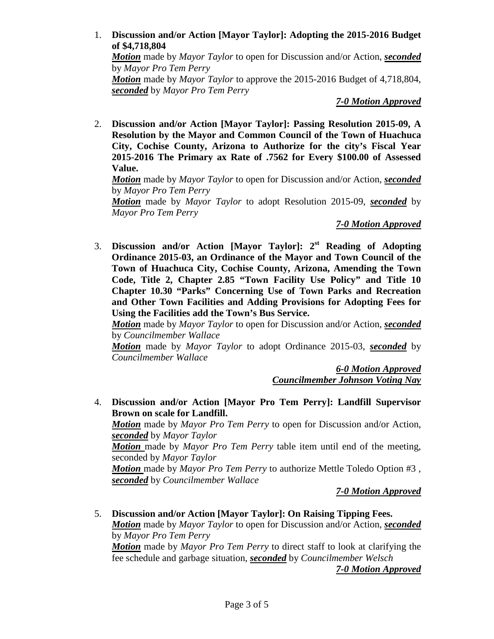### 1. **Discussion and/or Action [Mayor Taylor]: Adopting the 2015-2016 Budget of \$4,718,804**

*Motion* made by *Mayor Taylor* to open for Discussion and/or Action, *seconded* by *Mayor Pro Tem Perry*

*Motion* made by *Mayor Taylor* to approve the 2015-2016 Budget of 4,718,804, *seconded* by *Mayor Pro Tem Perry*

*7-0 Motion Approved*

2. **Discussion and/or Action [Mayor Taylor]: Passing Resolution 2015-09, A Resolution by the Mayor and Common Council of the Town of Huachuca City, Cochise County, Arizona to Authorize for the city's Fiscal Year 2015-2016 The Primary ax Rate of .7562 for Every \$100.00 of Assessed Value.**

*Motion* made by *Mayor Taylor* to open for Discussion and/or Action, *seconded* by *Mayor Pro Tem Perry*

*Motion* made by *Mayor Taylor* to adopt Resolution 2015-09, *seconded* by *Mayor Pro Tem Perry*

## *7-0 Motion Approved*

3. **Discussion and/or Action [Mayor Taylor]: 2st Reading of Adopting Ordinance 2015-03, an Ordinance of the Mayor and Town Council of the Town of Huachuca City, Cochise County, Arizona, Amending the Town Code, Title 2, Chapter 2.85 "Town Facility Use Policy" and Title 10 Chapter 10.30 "Parks" Concerning Use of Town Parks and Recreation and Other Town Facilities and Adding Provisions for Adopting Fees for Using the Facilities add the Town's Bus Service.** 

*Motion* made by *Mayor Taylor* to open for Discussion and/or Action, *seconded* by *Councilmember Wallace*

*Motion* made by *Mayor Taylor* to adopt Ordinance 2015-03, *seconded* by *Councilmember Wallace*

> *6-0 Motion Approved Councilmember Johnson Voting Nay*

4. **Discussion and/or Action [Mayor Pro Tem Perry]: Landfill Supervisor Brown on scale for Landfill.**

*Motion* made by *Mayor Pro Tem Perry* to open for Discussion and/or Action, *seconded* by *Mayor Taylor*

*Motion* made by *Mayor Pro Tem Perry* table item until end of the meeting, seconded by *Mayor Taylor*

*Motion* made by *Mayor Pro Tem Perry* to authorize Mettle Toledo Option #3 , *seconded* by *Councilmember Wallace*

*7-0 Motion Approved*

5. **Discussion and/or Action [Mayor Taylor]: On Raising Tipping Fees.** *Motion* made by *Mayor Taylor* to open for Discussion and/or Action, *seconded* by *Mayor Pro Tem Perry*

*Motion* made by *Mayor Pro Tem Perry* to direct staff to look at clarifying the fee schedule and garbage situation, *seconded* by *Councilmember Welsch*

*7-0 Motion Approved*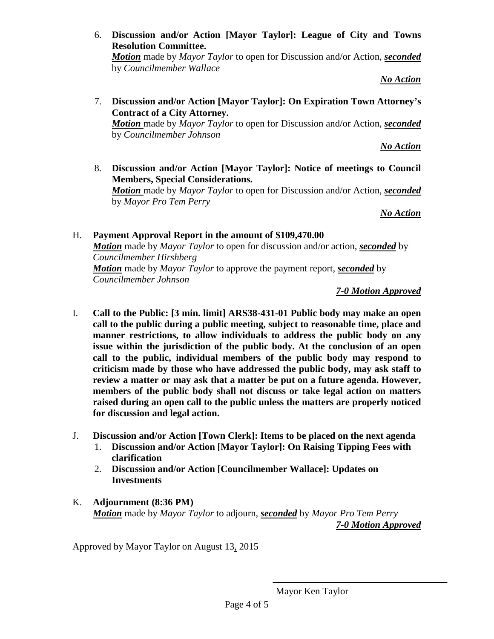6. **Discussion and/or Action [Mayor Taylor]: League of City and Towns Resolution Committee.** 

*Motion* made by *Mayor Taylor* to open for Discussion and/or Action, *seconded* by *Councilmember Wallace*

*No Action*

7. **Discussion and/or Action [Mayor Taylor]: On Expiration Town Attorney's Contract of a City Attorney.** *Motion* made by *Mayor Taylor* to open for Discussion and/or Action, *seconded*  by *Councilmember Johnson*

*No Action* 

8. **Discussion and/or Action [Mayor Taylor]: Notice of meetings to Council Members, Special Considerations.** *Motion* made by *Mayor Taylor* to open for Discussion and/or Action, *seconded*  by *Mayor Pro Tem Perry*

*No Action*

H. **Payment Approval Report in the amount of \$109,470.00** *Motion* made by *Mayor Taylor* to open for discussion and/or action, *seconded* by *Councilmember Hirshberg Motion* made by *Mayor Taylor* to approve the payment report, *seconded* by *Councilmember Johnson*

*7-0 Motion Approved*

- I. **Call to the Public: [3 min. limit] ARS38-431-01 Public body may make an open call to the public during a public meeting, subject to reasonable time, place and manner restrictions, to allow individuals to address the public body on any issue within the jurisdiction of the public body. At the conclusion of an open call to the public, individual members of the public body may respond to criticism made by those who have addressed the public body, may ask staff to review a matter or may ask that a matter be put on a future agenda. However, members of the public body shall not discuss or take legal action on matters raised during an open call to the public unless the matters are properly noticed for discussion and legal action.**
- J. **Discussion and/or Action [Town Clerk]: Items to be placed on the next agenda**
	- 1. **Discussion and/or Action [Mayor Taylor]: On Raising Tipping Fees with clarification**
	- 2. **Discussion and/or Action [Councilmember Wallace]: Updates on Investments**
- K. **Adjournment (8:36 PM)** *Motion* made by *Mayor Taylor* to adjourn, *seconded* by *Mayor Pro Tem Perry 7-0 Motion Approved*

Approved by Mayor Taylor on August 13, 2015